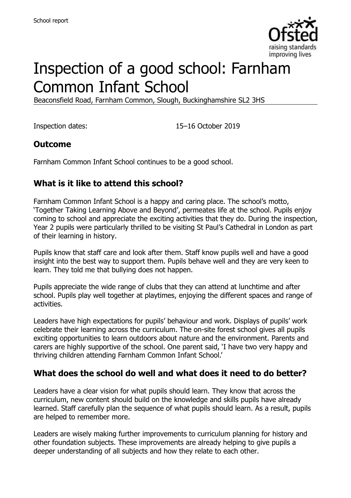

# Inspection of a good school: Farnham Common Infant School

Beaconsfield Road, Farnham Common, Slough, Buckinghamshire SL2 3HS

Inspection dates: 15–16 October 2019

## **Outcome**

Farnham Common Infant School continues to be a good school.

## **What is it like to attend this school?**

Farnham Common Infant School is a happy and caring place. The school's motto, 'Together Taking Learning Above and Beyond', permeates life at the school. Pupils enjoy coming to school and appreciate the exciting activities that they do. During the inspection, Year 2 pupils were particularly thrilled to be visiting St Paul's Cathedral in London as part of their learning in history.

Pupils know that staff care and look after them. Staff know pupils well and have a good insight into the best way to support them. Pupils behave well and they are very keen to learn. They told me that bullying does not happen.

Pupils appreciate the wide range of clubs that they can attend at lunchtime and after school. Pupils play well together at playtimes, enjoying the different spaces and range of activities.

Leaders have high expectations for pupils' behaviour and work. Displays of pupils' work celebrate their learning across the curriculum. The on-site forest school gives all pupils exciting opportunities to learn outdoors about nature and the environment. Parents and carers are highly supportive of the school. One parent said, 'I have two very happy and thriving children attending Farnham Common Infant School.'

#### **What does the school do well and what does it need to do better?**

Leaders have a clear vision for what pupils should learn. They know that across the curriculum, new content should build on the knowledge and skills pupils have already learned. Staff carefully plan the sequence of what pupils should learn. As a result, pupils are helped to remember more.

Leaders are wisely making further improvements to curriculum planning for history and other foundation subjects. These improvements are already helping to give pupils a deeper understanding of all subjects and how they relate to each other.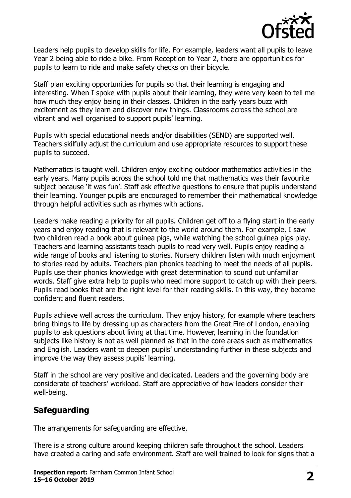

Leaders help pupils to develop skills for life. For example, leaders want all pupils to leave Year 2 being able to ride a bike. From Reception to Year 2, there are opportunities for pupils to learn to ride and make safety checks on their bicycle.

Staff plan exciting opportunities for pupils so that their learning is engaging and interesting. When I spoke with pupils about their learning, they were very keen to tell me how much they enjoy being in their classes. Children in the early years buzz with excitement as they learn and discover new things. Classrooms across the school are vibrant and well organised to support pupils' learning.

Pupils with special educational needs and/or disabilities (SEND) are supported well. Teachers skilfully adjust the curriculum and use appropriate resources to support these pupils to succeed.

Mathematics is taught well. Children enjoy exciting outdoor mathematics activities in the early years. Many pupils across the school told me that mathematics was their favourite subject because 'it was fun'. Staff ask effective questions to ensure that pupils understand their learning. Younger pupils are encouraged to remember their mathematical knowledge through helpful activities such as rhymes with actions.

Leaders make reading a priority for all pupils. Children get off to a flying start in the early years and enjoy reading that is relevant to the world around them. For example, I saw two children read a book about guinea pigs, while watching the school guinea pigs play. Teachers and learning assistants teach pupils to read very well. Pupils enjoy reading a wide range of books and listening to stories. Nursery children listen with much enjoyment to stories read by adults. Teachers plan phonics teaching to meet the needs of all pupils. Pupils use their phonics knowledge with great determination to sound out unfamiliar words. Staff give extra help to pupils who need more support to catch up with their peers. Pupils read books that are the right level for their reading skills. In this way, they become confident and fluent readers.

Pupils achieve well across the curriculum. They enjoy history, for example where teachers bring things to life by dressing up as characters from the Great Fire of London, enabling pupils to ask questions about living at that time. However, learning in the foundation subjects like history is not as well planned as that in the core areas such as mathematics and English. Leaders want to deepen pupils' understanding further in these subjects and improve the way they assess pupils' learning.

Staff in the school are very positive and dedicated. Leaders and the governing body are considerate of teachers' workload. Staff are appreciative of how leaders consider their well-being.

## **Safeguarding**

The arrangements for safeguarding are effective.

There is a strong culture around keeping children safe throughout the school. Leaders have created a caring and safe environment. Staff are well trained to look for signs that a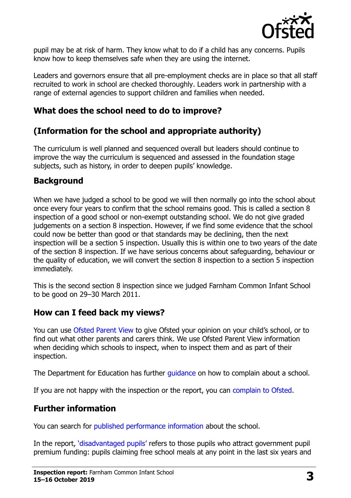

pupil may be at risk of harm. They know what to do if a child has any concerns. Pupils know how to keep themselves safe when they are using the internet.

Leaders and governors ensure that all pre-employment checks are in place so that all staff recruited to work in school are checked thoroughly. Leaders work in partnership with a range of external agencies to support children and families when needed.

### **What does the school need to do to improve?**

## **(Information for the school and appropriate authority)**

The curriculum is well planned and sequenced overall but leaders should continue to improve the way the curriculum is sequenced and assessed in the foundation stage subjects, such as history, in order to deepen pupils' knowledge.

#### **Background**

When we have judged a school to be good we will then normally go into the school about once every four years to confirm that the school remains good. This is called a section 8 inspection of a good school or non-exempt outstanding school. We do not give graded judgements on a section 8 inspection. However, if we find some evidence that the school could now be better than good or that standards may be declining, then the next inspection will be a section 5 inspection. Usually this is within one to two years of the date of the section 8 inspection. If we have serious concerns about safeguarding, behaviour or the quality of education, we will convert the section 8 inspection to a section 5 inspection immediately.

This is the second section 8 inspection since we judged Farnham Common Infant School to be good on 29–30 March 2011.

## **How can I feed back my views?**

You can use [Ofsted Parent View](https://parentview.ofsted.gov.uk/) to give Ofsted your opinion on your child's school, or to find out what other parents and carers think. We use Ofsted Parent View information when deciding which schools to inspect, when to inspect them and as part of their inspection.

The Department for Education has further quidance on how to complain about a school.

If you are not happy with the inspection or the report, you can [complain to Ofsted.](https://www.gov.uk/complain-ofsted-report)

## **Further information**

You can search for [published performance information](http://www.compare-school-performance.service.gov.uk/) about the school.

In the report, '[disadvantaged pupils](http://www.gov.uk/guidance/pupil-premium-information-for-schools-and-alternative-provision-settings)' refers to those pupils who attract government pupil premium funding: pupils claiming free school meals at any point in the last six years and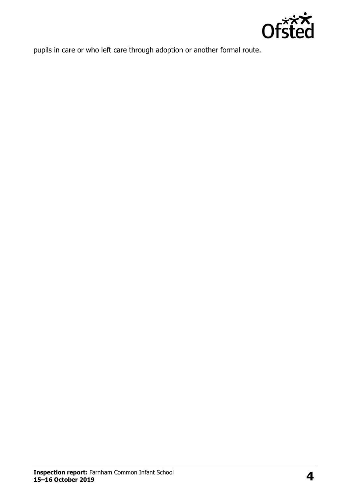

pupils in care or who left care through adoption or another formal route.

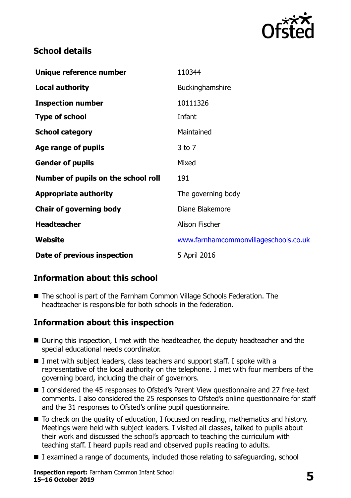

### **School details**

| Unique reference number             | 110344                                |
|-------------------------------------|---------------------------------------|
| <b>Local authority</b>              | Buckinghamshire                       |
| <b>Inspection number</b>            | 10111326                              |
| <b>Type of school</b>               | Infant                                |
| <b>School category</b>              | Maintained                            |
| Age range of pupils                 | $3$ to $7$                            |
| <b>Gender of pupils</b>             | Mixed                                 |
| Number of pupils on the school roll | 191                                   |
| <b>Appropriate authority</b>        | The governing body                    |
| <b>Chair of governing body</b>      | Diane Blakemore                       |
| <b>Headteacher</b>                  | <b>Alison Fischer</b>                 |
| Website                             | www.farnhamcommonvillageschools.co.uk |
| Date of previous inspection         | 5 April 2016                          |

## **Information about this school**

■ The school is part of the Farnham Common Village Schools Federation. The headteacher is responsible for both schools in the federation.

## **Information about this inspection**

- During this inspection, I met with the headteacher, the deputy headteacher and the special educational needs coordinator.
- I met with subject leaders, class teachers and support staff. I spoke with a representative of the local authority on the telephone. I met with four members of the governing board, including the chair of governors.
- I considered the 45 responses to Ofsted's Parent View questionnaire and 27 free-text comments. I also considered the 25 responses to Ofsted's online questionnaire for staff and the 31 responses to Ofsted's online pupil questionnaire.
- To check on the quality of education, I focused on reading, mathematics and history. Meetings were held with subject leaders. I visited all classes, talked to pupils about their work and discussed the school's approach to teaching the curriculum with teaching staff. I heard pupils read and observed pupils reading to adults.
- I examined a range of documents, included those relating to safeguarding, school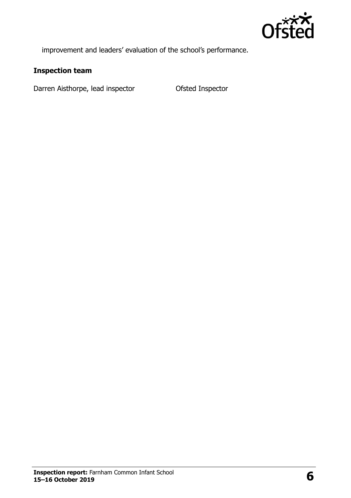

improvement and leaders' evaluation of the school's performance.

#### **Inspection team**

Darren Aisthorpe, lead inspector **Ofsted Inspector**